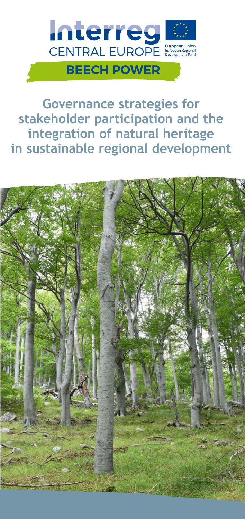

**Governance strategies for stakeholder participation and the integration of natural heritage in sustainable regional development**

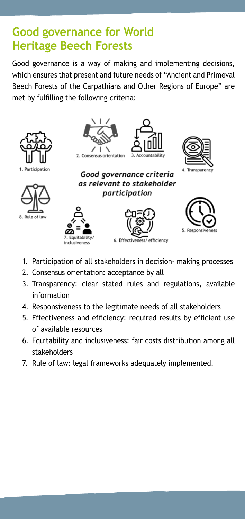# **Good governance for World Heritage Beech Forests**

Good governance is a way of making and implementing decisions, which ensures that present and future needs of "Ancient and Primeval Beech Forests of the Carpathians and Other Regions of Europe" are met by fulfilling the following criteria:



- 1. Participation of all stakeholders in decision- making processes
- 2. Consensus orientation: acceptance by all
- 3. Transparency: clear stated rules and regulations, available information
- 4. Responsiveness to the legitimate needs of all stakeholders
- 5. Effectiveness and efficiency: required results by efficient use of available resources
- 6. Equitability and inclusiveness: fair costs distribution among all stakeholders
- 7. Rule of law: legal frameworks adequately implemented.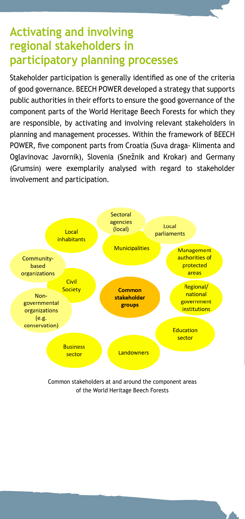## **Activating and involving regional stakeholders in participatory planning processes**

Stakeholder participation is generally identified as one of the criteria of good governance. BEECH POWER developed a strategy that supports public authorities in their efforts to ensure the good governance of the component parts of the World Heritage Beech Forests for which they are responsible, by activating and involving relevant stakeholders in planning and management processes. Within the framework of BEECH POWER, five component parts from Croatia (Suva draga- Klimenta and Oglavinovac Javornik), Slovenia (Snežnik and Krokar) and Germany (Grumsin) were exemplarily analysed with regard to stakeholder involvement and participation.



Common stakeholders at and around the component areas of the World Heritage Beech Forests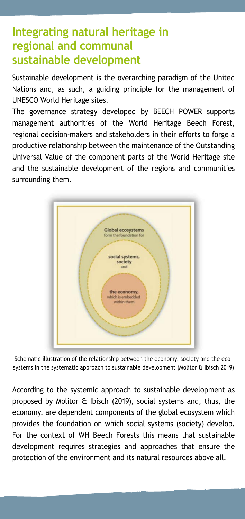## **Integrating natural heritage in regional and communal sustainable development**

Sustainable development is the overarching paradigm of the United Nations and, as such, a guiding principle for the management of UNESCO World Heritage sites.

The governance strategy developed by BEECH POWER supports management authorities of the World Heritage Beech Forest, regional decision-makers and stakeholders in their efforts to forge a productive relationship between the maintenance of the Outstanding Universal Value of the component parts of the World Heritage site and the sustainable development of the regions and communities surrounding them.



Schematic illustration of the relationship between the economy, society and the ecosystems in the systematic approach to sustainable development (Molitor & Ibisch 2019)

According to the systemic approach to sustainable development as proposed by Molitor & Ibisch (2019), social systems and, thus, the economy, are dependent components of the global ecosystem which provides the foundation on which social systems (society) develop. For the context of WH Beech Forests this means that sustainable development requires strategies and approaches that ensure the protection of the environment and its natural resources above all.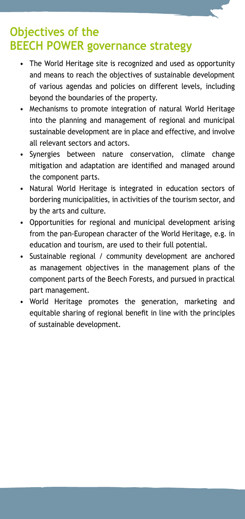## **Objectives of the BEECH POWER governance strategy**

- The World Heritage site is recognized and used as opportunity and means to reach the objectives of sustainable development of various agendas and policies on different levels, including beyond the boundaries of the property.
- Mechanisms to promote integration of natural World Heritage into the planning and management of regional and municipal sustainable development are in place and effective, and involve all relevant sectors and actors.
- Synergies between nature conservation, climate change mitigation and adaptation are identified and managed around the component parts.
- Natural World Heritage is integrated in education sectors of bordering municipalities, in activities of the tourism sector, and by the arts and culture.
- Opportunities for regional and municipal development arising from the pan-European character of the World Heritage, e.g. in education and tourism, are used to their full potential.
- Sustainable regional / community development are anchored as management objectives in the management plans of the component parts of the Beech Forests, and pursued in practical part management.
- World Heritage promotes the generation, marketing and equitable sharing of regional benefit in line with the principles of sustainable development.